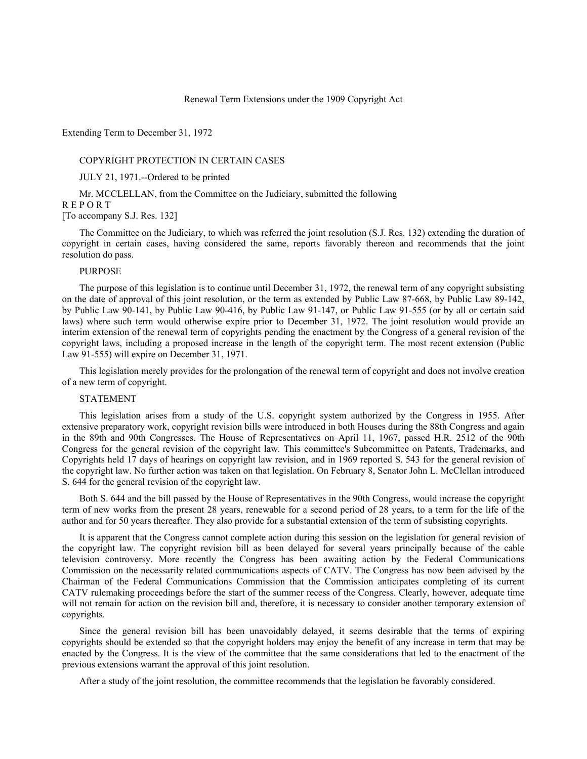Renewal Term Extensions under the 1909 Copyright Act

Extending Term to December 31, 1972

#### COPYRIGHT PROTECTION IN CERTAIN CASES

JULY 21, 1971.--Ordered to be printed

Mr. MCCLELLAN, from the Committee on the Judiciary, submitted the following R E P O R T

[To accompany S.J. Res. 132]

The Committee on the Judiciary, to which was referred the joint resolution (S.J. Res. 132) extending the duration of copyright in certain cases, having considered the same, reports favorably thereon and recommends that the joint resolution do pass.

#### **PURPOSE**

The purpose of this legislation is to continue until December 31, 1972, the renewal term of any copyright subsisting on the date of approval of this joint resolution, or the term as extended by Public Law 87-668, by Public Law 89-142, by Public Law 90-141, by Public Law 90-416, by Public Law 91-147, or Public Law 91-555 (or by all or certain said laws) where such term would otherwise expire prior to December 31, 1972. The joint resolution would provide an interim extension of the renewal term of copyrights pending the enactment by the Congress of a general revision of the copyright laws, including a proposed increase in the length of the copyright term. The most recent extension (Public Law 91-555) will expire on December 31, 1971.

This legislation merely provides for the prolongation of the renewal term of copyright and does not involve creation of a new term of copyright.

# STATEMENT

This legislation arises from a study of the U.S. copyright system authorized by the Congress in 1955. After extensive preparatory work, copyright revision bills were introduced in both Houses during the 88th Congress and again in the 89th and 90th Congresses. The House of Representatives on April 11, 1967, passed H.R. 2512 of the 90th Congress for the general revision of the copyright law. This committee's Subcommittee on Patents, Trademarks, and Copyrights held 17 days of hearings on copyright law revision, and in 1969 reported S. 543 for the general revision of the copyright law. No further action was taken on that legislation. On February 8, Senator John L. McClellan introduced S. 644 for the general revision of the copyright law.

Both S. 644 and the bill passed by the House of Representatives in the 90th Congress, would increase the copyright term of new works from the present 28 years, renewable for a second period of 28 years, to a term for the life of the author and for 50 years thereafter. They also provide for a substantial extension of the term of subsisting copyrights.

It is apparent that the Congress cannot complete action during this session on the legislation for general revision of the copyright law. The copyright revision bill as been delayed for several years principally because of the cable television controversy. More recently the Congress has been awaiting action by the Federal Communications Commission on the necessarily related communications aspects of CATV. The Congress has now been advised by the Chairman of the Federal Communications Commission that the Commission anticipates completing of its current CATV rulemaking proceedings before the start of the summer recess of the Congress. Clearly, however, adequate time will not remain for action on the revision bill and, therefore, it is necessary to consider another temporary extension of copyrights.

Since the general revision bill has been unavoidably delayed, it seems desirable that the terms of expiring copyrights should be extended so that the copyright holders may enjoy the benefit of any increase in term that may be enacted by the Congress. It is the view of the committee that the same considerations that led to the enactment of the previous extensions warrant the approval of this joint resolution.

After a study of the joint resolution, the committee recommends that the legislation be favorably considered.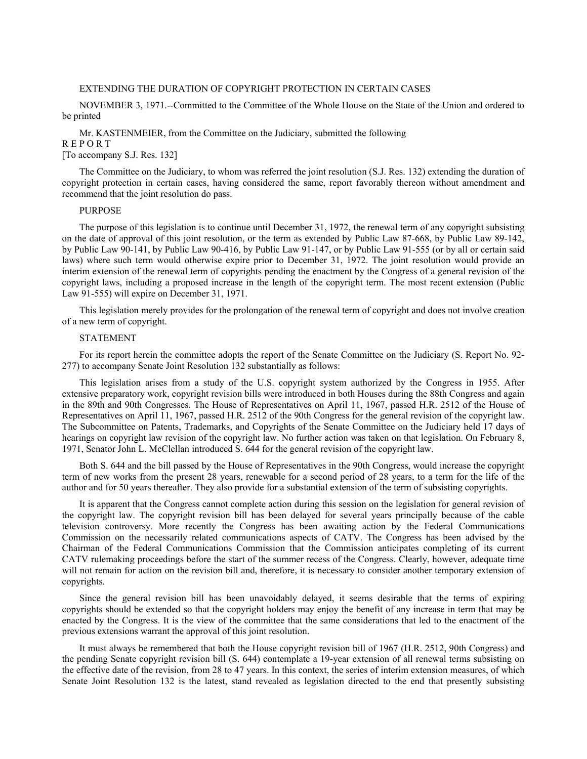#### EXTENDING THE DURATION OF COPYRIGHT PROTECTION IN CERTAIN CASES

NOVEMBER 3, 1971.--Committed to the Committee of the Whole House on the State of the Union and ordered to be printed

Mr. KASTENMEIER, from the Committee on the Judiciary, submitted the following R E P O R T

[To accompany S.J. Res. 132]

The Committee on the Judiciary, to whom was referred the joint resolution (S.J. Res. 132) extending the duration of copyright protection in certain cases, having considered the same, report favorably thereon without amendment and recommend that the joint resolution do pass.

## PURPOSE

The purpose of this legislation is to continue until December 31, 1972, the renewal term of any copyright subsisting on the date of approval of this joint resolution, or the term as extended by Public Law 87-668, by Public Law 89-142, by Public Law 90-141, by Public Law 90-416, by Public Law 91-147, or by Public Law 91-555 (or by all or certain said laws) where such term would otherwise expire prior to December 31, 1972. The joint resolution would provide an interim extension of the renewal term of copyrights pending the enactment by the Congress of a general revision of the copyright laws, including a proposed increase in the length of the copyright term. The most recent extension (Public Law 91-555) will expire on December 31, 1971.

This legislation merely provides for the prolongation of the renewal term of copyright and does not involve creation of a new term of copyright.

## STATEMENT

For its report herein the committee adopts the report of the Senate Committee on the Judiciary (S. Report No. 92- 277) to accompany Senate Joint Resolution 132 substantially as follows:

This legislation arises from a study of the U.S. copyright system authorized by the Congress in 1955. After extensive preparatory work, copyright revision bills were introduced in both Houses during the 88th Congress and again in the 89th and 90th Congresses. The House of Representatives on April 11, 1967, passed H.R. 2512 of the House of Representatives on April 11, 1967, passed H.R. 2512 of the 90th Congress for the general revision of the copyright law. The Subcommittee on Patents, Trademarks, and Copyrights of the Senate Committee on the Judiciary held 17 days of hearings on copyright law revision of the copyright law. No further action was taken on that legislation. On February 8, 1971, Senator John L. McClellan introduced S. 644 for the general revision of the copyright law.

Both S. 644 and the bill passed by the House of Representatives in the 90th Congress, would increase the copyright term of new works from the present 28 years, renewable for a second period of 28 years, to a term for the life of the author and for 50 years thereafter. They also provide for a substantial extension of the term of subsisting copyrights.

It is apparent that the Congress cannot complete action during this session on the legislation for general revision of the copyright law. The copyright revision bill has been delayed for several years principally because of the cable television controversy. More recently the Congress has been awaiting action by the Federal Communications Commission on the necessarily related communications aspects of CATV. The Congress has been advised by the Chairman of the Federal Communications Commission that the Commission anticipates completing of its current CATV rulemaking proceedings before the start of the summer recess of the Congress. Clearly, however, adequate time will not remain for action on the revision bill and, therefore, it is necessary to consider another temporary extension of copyrights.

Since the general revision bill has been unavoidably delayed, it seems desirable that the terms of expiring copyrights should be extended so that the copyright holders may enjoy the benefit of any increase in term that may be enacted by the Congress. It is the view of the committee that the same considerations that led to the enactment of the previous extensions warrant the approval of this joint resolution.

It must always be remembered that both the House copyright revision bill of 1967 (H.R. 2512, 90th Congress) and the pending Senate copyright revision bill (S. 644) contemplate a 19-year extension of all renewal terms subsisting on the effective date of the revision, from 28 to 47 years. In this context, the series of interim extension measures, of which Senate Joint Resolution 132 is the latest, stand revealed as legislation directed to the end that presently subsisting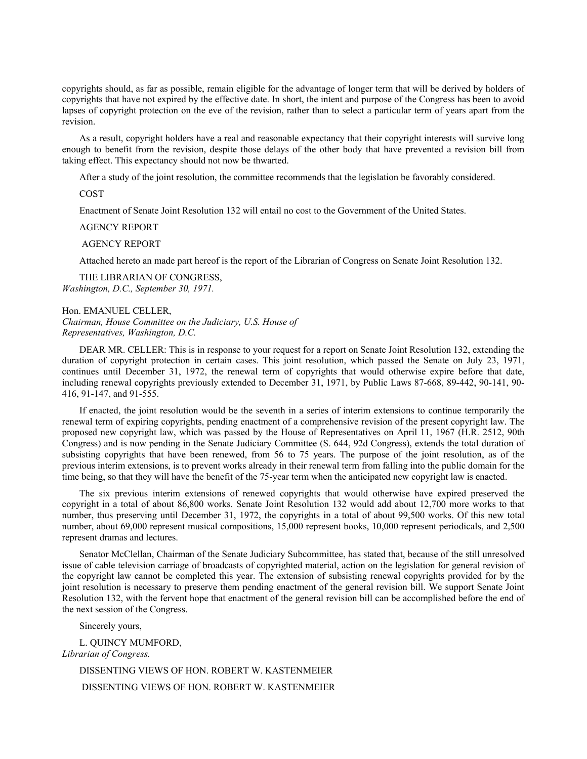copyrights should, as far as possible, remain eligible for the advantage of longer term that will be derived by holders of copyrights that have not expired by the effective date. In short, the intent and purpose of the Congress has been to avoid lapses of copyright protection on the eve of the revision, rather than to select a particular term of years apart from the revision.

As a result, copyright holders have a real and reasonable expectancy that their copyright interests will survive long enough to benefit from the revision, despite those delays of the other body that have prevented a revision bill from taking effect. This expectancy should not now be thwarted.

After a study of the joint resolution, the committee recommends that the legislation be favorably considered.

COST

Enactment of Senate Joint Resolution 132 will entail no cost to the Government of the United States.

#### AGENCY REPORT

## AGENCY REPORT

Attached hereto an made part hereof is the report of the Librarian of Congress on Senate Joint Resolution 132.

THE LIBRARIAN OF CONGRESS, *Washington, D.C., September 30, 1971.*

Hon. EMANUEL CELLER, *Chairman, House Committee on the Judiciary, U.S. House of Representatives, Washington, D.C.*

DEAR MR. CELLER: This is in response to your request for a report on Senate Joint Resolution 132, extending the duration of copyright protection in certain cases. This joint resolution, which passed the Senate on July 23, 1971, continues until December 31, 1972, the renewal term of copyrights that would otherwise expire before that date, including renewal copyrights previously extended to December 31, 1971, by Public Laws 87-668, 89-442, 90-141, 90- 416, 91-147, and 91-555.

If enacted, the joint resolution would be the seventh in a series of interim extensions to continue temporarily the renewal term of expiring copyrights, pending enactment of a comprehensive revision of the present copyright law. The proposed new copyright law, which was passed by the House of Representatives on April 11, 1967 (H.R. 2512, 90th Congress) and is now pending in the Senate Judiciary Committee (S. 644, 92d Congress), extends the total duration of subsisting copyrights that have been renewed, from 56 to 75 years. The purpose of the joint resolution, as of the previous interim extensions, is to prevent works already in their renewal term from falling into the public domain for the time being, so that they will have the benefit of the 75-year term when the anticipated new copyright law is enacted.

The six previous interim extensions of renewed copyrights that would otherwise have expired preserved the copyright in a total of about 86,800 works. Senate Joint Resolution 132 would add about 12,700 more works to that number, thus preserving until December 31, 1972, the copyrights in a total of about 99,500 works. Of this new total number, about 69,000 represent musical compositions, 15,000 represent books, 10,000 represent periodicals, and 2,500 represent dramas and lectures.

Senator McClellan, Chairman of the Senate Judiciary Subcommittee, has stated that, because of the still unresolved issue of cable television carriage of broadcasts of copyrighted material, action on the legislation for general revision of the copyright law cannot be completed this year. The extension of subsisting renewal copyrights provided for by the joint resolution is necessary to preserve them pending enactment of the general revision bill. We support Senate Joint Resolution 132, with the fervent hope that enactment of the general revision bill can be accomplished before the end of the next session of the Congress.

Sincerely yours,

L. QUINCY MUMFORD, *Librarian of Congress.* DISSENTING VIEWS OF HON. ROBERT W. KASTENMEIER

DISSENTING VIEWS OF HON. ROBERT W. KASTENMEIER